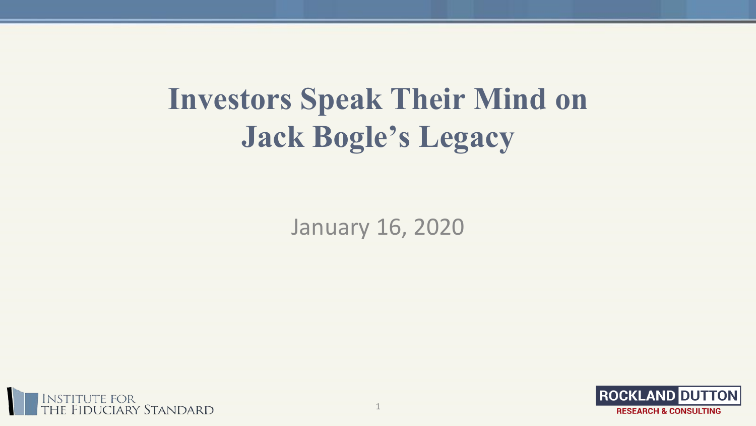# **Investors Speak Their Mind on Jack Bogle's Legacy**

January 16, 2020



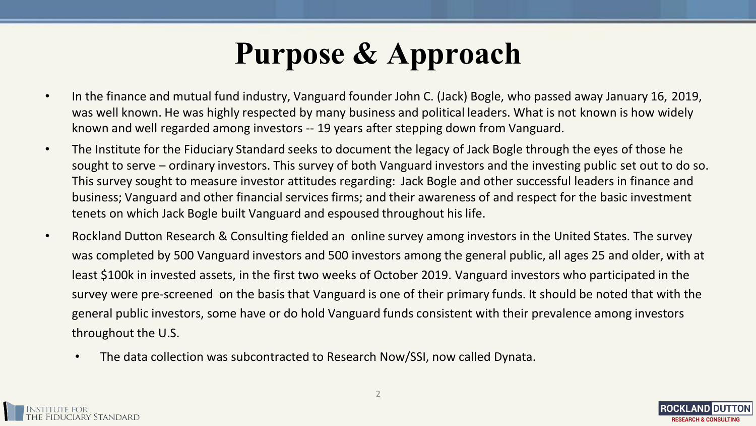## **Purpose & Approach**

- In the finance and mutual fund industry, Vanguard founder John C. (Jack) Bogle, who passed away January 16, 2019, was well known. He was highly respected by many business and political leaders. What is not known is how widely known and well regarded among investors -- 19 years after stepping down from Vanguard.
- The Institute for the Fiduciary Standard seeks to document the legacy of Jack Bogle through the eyes of those he sought to serve – ordinary investors. This survey of both Vanguard investors and the investing public set out to do so. This survey sought to measure investor attitudes regarding: Jack Bogle and other successful leaders in finance and business; Vanguard and other financial services firms; and their awareness of and respect for the basic investment tenets on which Jack Bogle built Vanguard and espoused throughout his life.
- Rockland Dutton Research & Consulting fielded an online survey among investors in the United States. The survey was completed by 500 Vanguard investors and 500 investors among the general public, all ages 25 and older, with at least \$100k in invested assets, in the first two weeks of October 2019. Vanguard investors who participated in the survey were pre-screened on the basis that Vanguard is one of their primary funds. It should be noted that with the general public investors, some have or do hold Vanguard funds consistent with their prevalence among investors throughout the U.S.
	- The data collection was subcontracted to Research Now/SSI, now called Dynata.



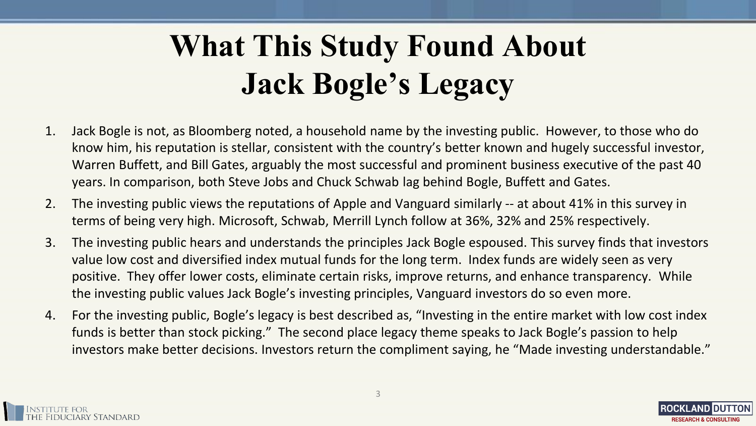# **What This Study Found About Jack Bogle's Legacy**

- 1. Jack Bogle is not, as Bloomberg noted, a household name by the investing public. However, to those who do know him, his reputation is stellar, consistent with the country's better known and hugely successful investor, Warren Buffett, and Bill Gates, arguably the most successful and prominent business executive of the past 40 years. In comparison, both Steve Jobs and Chuck Schwab lag behind Bogle, Buffett and Gates.
- 2. The investing public views the reputations of Apple and Vanguard similarly -- at about 41% in this survey in terms of being very high. Microsoft, Schwab, Merrill Lynch follow at 36%, 32% and 25% respectively.
- 3. The investing public hears and understands the principles Jack Bogle espoused. This survey finds that investors value low cost and diversified index mutual funds for the long term. Index funds are widely seen as very positive. They offer lower costs, eliminate certain risks, improve returns, and enhance transparency. While the investing public values Jack Bogle's investing principles, Vanguard investors do so even more.
- 4. For the investing public, Bogle's legacy is best described as, "Investing in the entire market with low cost index funds is better than stock picking." The second place legacy theme speaks to Jack Bogle's passion to help investors make better decisions. Investors return the compliment saying, he "Made investing understandable."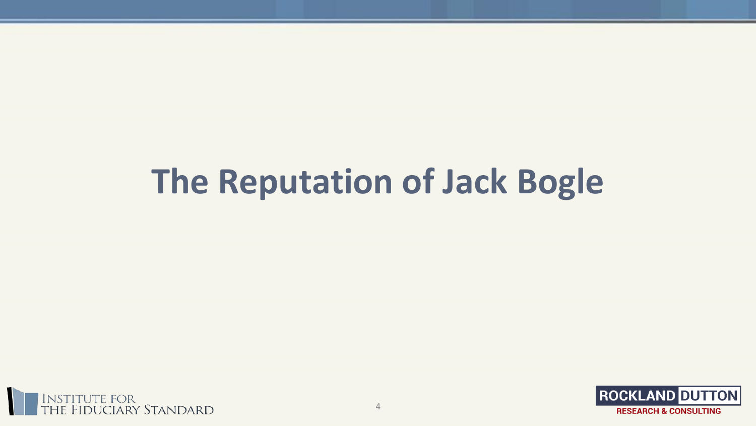# **The Reputation of Jack Bogle**



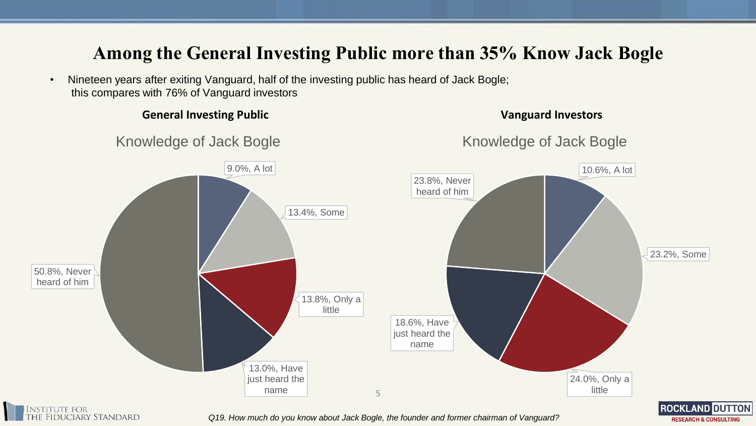## **Among the General Investing Public more than 35% Know Jack Bogle**

• Nineteen years after exiting Vanguard, half of the investing public has heard of Jack Bogle; this compares with 76% of Vanguard investors

itute for<br>Fiduciary Standard



**General Investing Public Vanguard Investors**

**ROCKLAND DUTTON RESEARCH & CONSULTING** 

*Q19. How much do you know about Jack Bogle, the founder and former chairman of Vanguard?*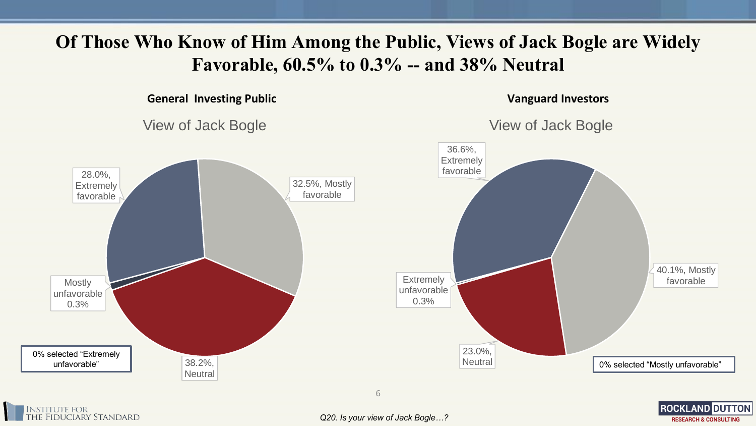## **Of Those Who Know of Him Among the Public, Views of Jack Bogle are Widely Favorable, 60.5% to 0.3% -- and 38% Neutral**

**General Investing Public**



**Vanguard Investors**

**ROCKLAND DUTTON** 

**RESEARCH & CONSULTING** 

View of Jack Bogle

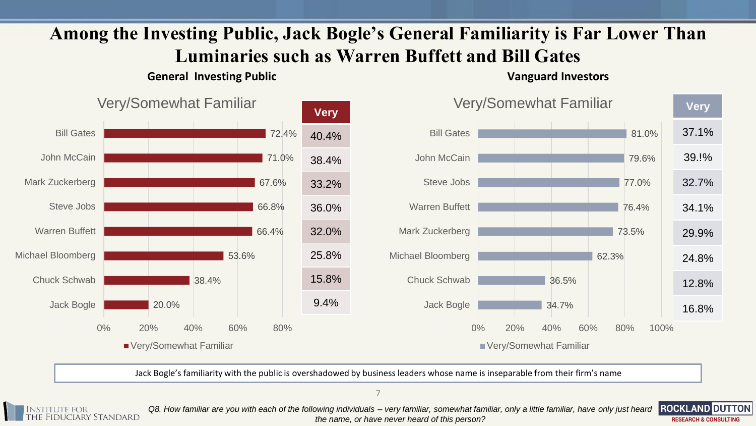## **Among the Investing Public, Jack Bogle's General Familiarity is Far Lower Than Luminaries such as Warren Buffett and Bill Gates**

### **General Investing Public Vanguard Investors**

![](_page_6_Figure_3.jpeg)

Jack Bogle's familiarity with the public is overshadowed by business leaders whose name is inseparable from their firm's name

7

**IDUCIARY STANDARD** 

*Q8. How familiar are you with each of the following individuals – very familiar, somewhat familiar, only a little familiar, have only just heard the name, or have never heard of this person?*

![](_page_6_Picture_8.jpeg)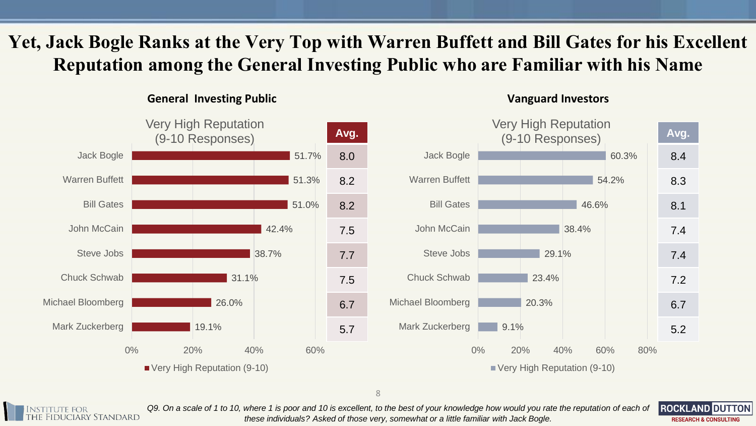## **Yet, Jack Bogle Ranks at the Very Top with Warren Buffett and Bill Gates for his Excellent Reputation among the General Investing Public who are Familiar with his Name**

**General Investing Public Vanguard Investors**

![](_page_7_Figure_2.jpeg)

![](_page_7_Picture_4.jpeg)

![](_page_7_Picture_5.jpeg)

*Q9. On a scale of 1 to 10, where 1 is poor and 10 is excellent, to the best of your knowledge how would you rate the reputation of each of these individuals? Asked of those very, somewhat or a little familiar with Jack Bogle.*

![](_page_7_Picture_7.jpeg)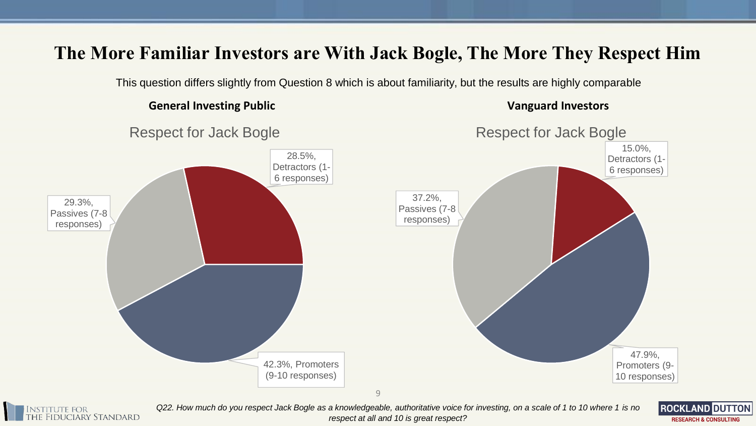## **The More Familiar Investors are With Jack Bogle, The More They Respect Him**

This question differs slightly from Question 8 which is about familiarity, but the results are highly comparable

### **General Investing Public Vanguard Investors**

![](_page_8_Figure_4.jpeg)

![](_page_8_Picture_5.jpeg)

*Q22. How much do you respect Jack Bogle as a knowledgeable, authoritative voice for investing, on a scale of 1 to 10 where 1 is no respect at all and 10 is great respect?*

**ROCKLAND DUTTON RESEARCH & CONSULTING**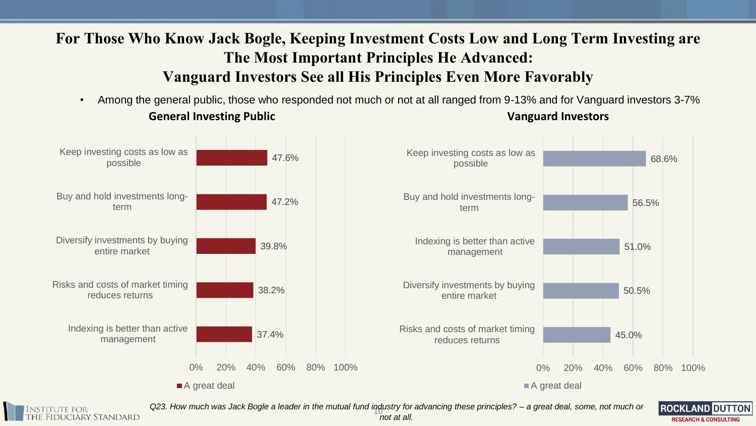## **For Those Who Know Jack Bogle, Keeping Investment Costs Low and Long Term Investing are The Most Important Principles He Advanced: Vanguard Investors See all His Principles Even More Favorably**

**General Investing Public Vanguard Investors** • Among the general public, those who responded not much or not at all ranged from 9-13% and for Vanguard investors 3-7%

![](_page_9_Figure_2.jpeg)

**IDUCIARY STANDARD** 

10 *Q23. How much was Jack Bogle a leader in the mutual fund industry for advancing these principles? – a great deal, some, not much or not at all.* 

**ROCKLAND DUTTON RESEARCH & CONSULTING**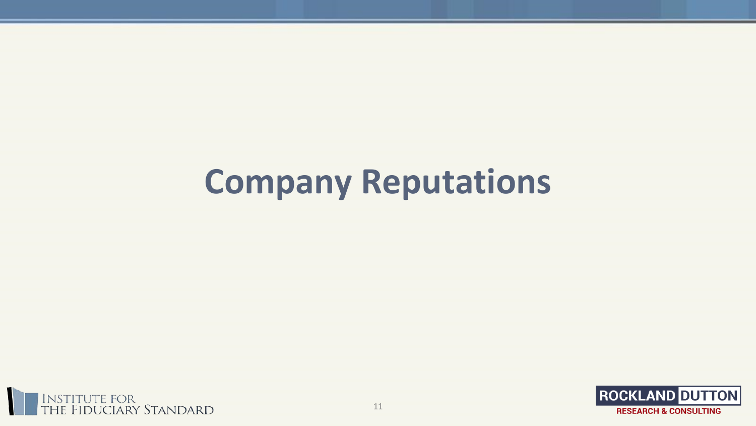# **Company Reputations**

![](_page_10_Picture_1.jpeg)

![](_page_10_Picture_2.jpeg)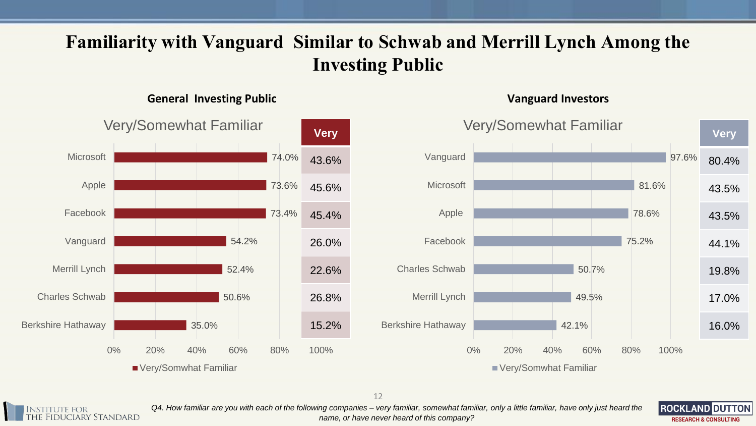## **Familiarity with Vanguard Similar to Schwab and Merrill Lynch Among the Investing Public**

### **General Investing Public Vanguard Investors**

![](_page_11_Figure_2.jpeg)

![](_page_11_Picture_4.jpeg)

*Q4. How familiar are you with each of the following companies – very familiar, somewhat familiar, only a little familiar, have only just heard the name, or have never heard of this company?*

**ROCKLAND DUTTON RESEARCH & CONSULTING**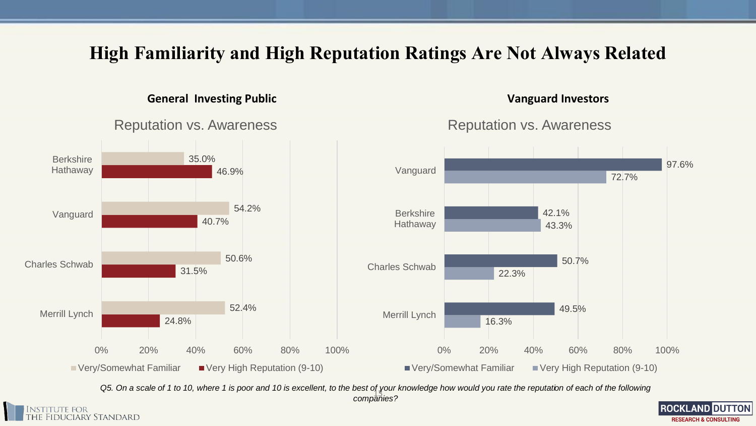## **High Familiarity and High Reputation Ratings Are Not Always Related**

### **General Investing Public Vanguard Investors**

Reputation vs. Awareness

### 16.3% 22.3% 43.3% 72.7% 49.5% 50.7% 42.1% 97.6% 0% 20% 40% 60% 80% 100% Merrill Lynch Charles Schwab **Berkshire** Hathaway Vanguard Very/Somewhat Familiar Very High Reputation (9-10) 24.8% 31.5% 40.7% 46.9% 52.4% 50.6% 54.2% 35.0% 0% 20% 40% 60% 80% 100% Merrill Lynch Charles Schwab Vanguard **Berkshire** Hathaway ■ Very/Somewhat Familiar ■ Very High Reputation (9-10)

13 *companies?Q5. On a scale of 1 to 10, where 1 is poor and 10 is excellent, to the best of your knowledge how would you rate the reputation of each of the following* 

![](_page_12_Picture_4.jpeg)

Reputation vs. Awareness

![](_page_12_Picture_6.jpeg)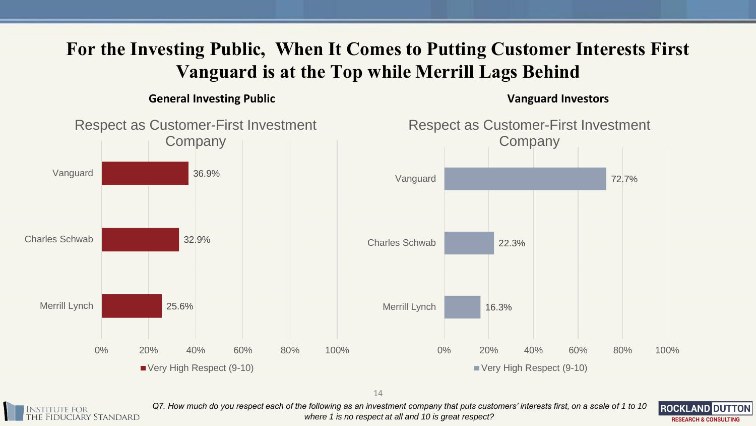## **For the Investing Public, When It Comes to Putting Customer Interests First Vanguard is at the Top while Merrill Lags Behind**

**General Investing Public Vanguard Investors**

![](_page_13_Figure_3.jpeg)

14

![](_page_13_Picture_5.jpeg)

*Q7. How much do you respect each of the following as an investment company that puts customers' interests first, on a scale of 1 to 10 where 1 is no respect at all and 10 is great respect?*

![](_page_13_Picture_7.jpeg)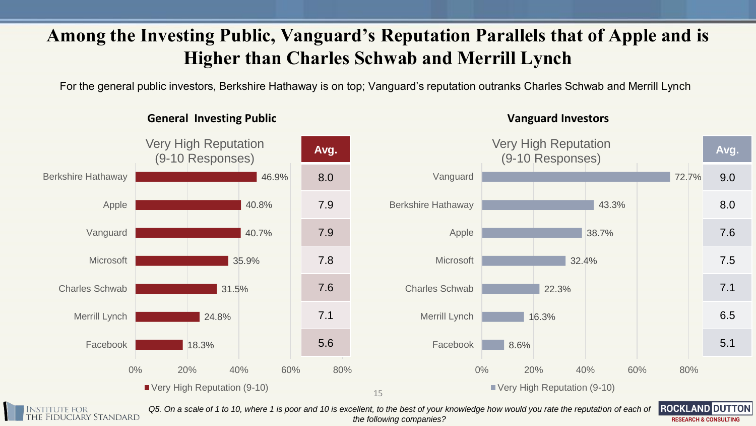## **Among the Investing Public, Vanguard's Reputation Parallels that of Apple and is Higher than Charles Schwab and Merrill Lynch**

For the general public investors, Berkshire Hathaway is on top; Vanguard's reputation outranks Charles Schwab and Merrill Lynch

![](_page_14_Figure_2.jpeg)

**General Investing Public Vanguard Investors**

**IDUCIARY STANDARD** 

*Q5. On a scale of 1 to 10, where 1 is poor and 10 is excellent, to the best of your knowledge how would you rate the reputation of each of the following companies?*

**ROCKLAND DUTTON RESEARCH & CONSULTING**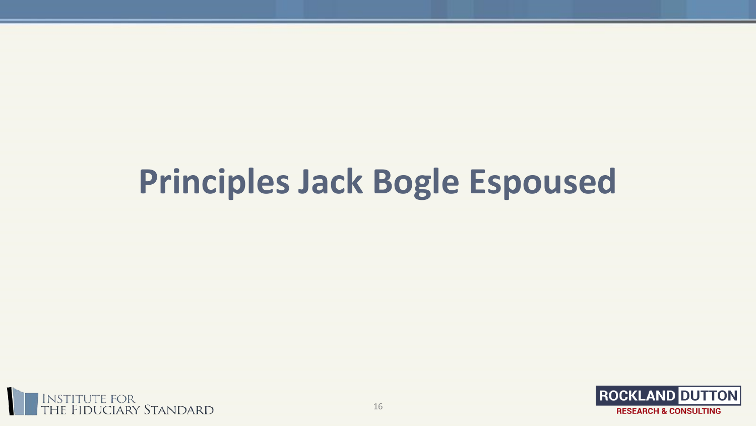# **Principles Jack Bogle Espoused**

![](_page_15_Picture_1.jpeg)

![](_page_15_Picture_2.jpeg)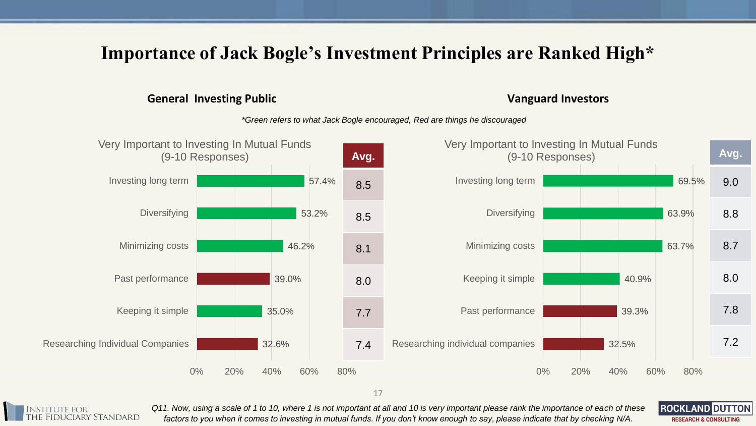## **Importance of Jack Bogle's Investment Principles are Ranked High\***

### **General Investing Public Vanguard Investors**

**ROCKLAND DUTTON** 

**RESEARCH & CONSULTING** 

*\*Green refers to what Jack Bogle encouraged, Red are things he discouraged*

![](_page_16_Figure_4.jpeg)

![](_page_16_Picture_6.jpeg)

*Q11. Now, using a scale of 1 to 10, where 1 is not important at all and 10 is very important please rank the importance of each of these factors to you when it comes to investing in mutual funds. If you don't know enough to say, please indicate that by checking N/A.*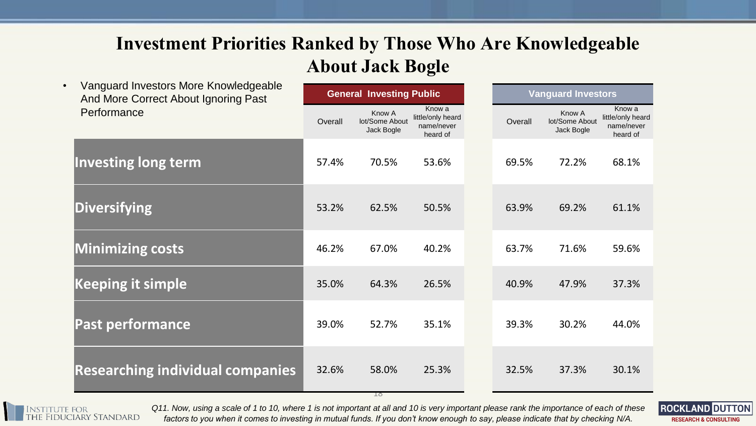## **Investment Priorities Ranked by Those Who Are Knowledgeable About Jack Bogle**

| Vanguard Investors More Knowledgeable<br>$\bullet$<br>And More Correct About Ignoring Past | <b>General Investing Public</b> |                                        |                                                       | <b>Vanguard Investors</b> |         |                                        |                                                       |
|--------------------------------------------------------------------------------------------|---------------------------------|----------------------------------------|-------------------------------------------------------|---------------------------|---------|----------------------------------------|-------------------------------------------------------|
| Performance                                                                                | Overall                         | Know A<br>lot/Some About<br>Jack Bogle | Know a<br>little/only heard<br>name/never<br>heard of |                           | Overall | Know A<br>lot/Some About<br>Jack Bogle | Know a<br>little/only heard<br>name/never<br>heard of |
| <b>Investing long term</b>                                                                 | 57.4%                           | 70.5%                                  | 53.6%                                                 |                           | 69.5%   | 72.2%                                  | 68.1%                                                 |
| <b>Diversifying</b>                                                                        | 53.2%                           | 62.5%                                  | 50.5%                                                 |                           | 63.9%   | 69.2%                                  | 61.1%                                                 |
| <b>Minimizing costs</b>                                                                    | 46.2%                           | 67.0%                                  | 40.2%                                                 |                           | 63.7%   | 71.6%                                  | 59.6%                                                 |
| <b>Keeping it simple</b>                                                                   | 35.0%                           | 64.3%                                  | 26.5%                                                 |                           | 40.9%   | 47.9%                                  | 37.3%                                                 |
| <b>Past performance</b>                                                                    | 39.0%                           | 52.7%                                  | 35.1%                                                 |                           | 39.3%   | 30.2%                                  | 44.0%                                                 |
| <b>Researching individual companies</b>                                                    | 32.6%                           | 58.0%<br>TQ                            | 25.3%                                                 |                           | 32.5%   | 37.3%                                  | 30.1%                                                 |

itute for<br>Fiduciary Standard

*Q11. Now, using a scale of 1 to 10, where 1 is not important at all and 10 is very important please rank the importance of each of these factors to you when it comes to investing in mutual funds. If you don't know enough to say, please indicate that by checking N/A.*

![](_page_17_Picture_4.jpeg)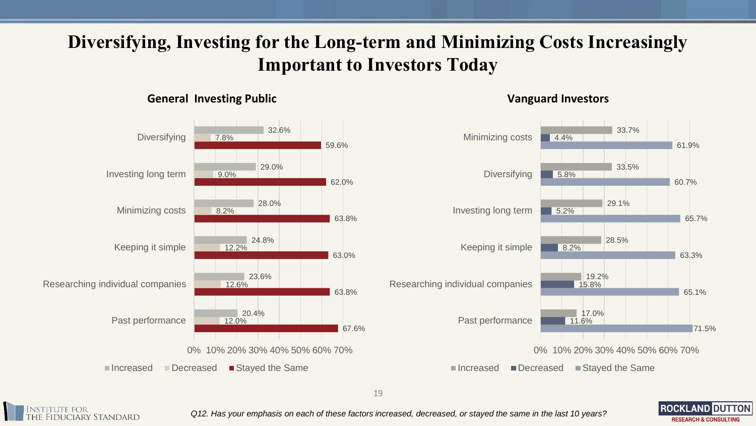## **Diversifying, Investing for the Long-term and Minimizing Costs Increasingly Important to Investors Today**

### **General Investing Public Vanguard Investors**

![](_page_18_Figure_2.jpeg)

![](_page_18_Figure_4.jpeg)

**ROCKLAND DUTTON** 

**RESEARCH & CONSULTING** 

![](_page_18_Picture_6.jpeg)

*Q12. Has your emphasis on each of these factors increased, decreased, or stayed the same in the last 10 years?*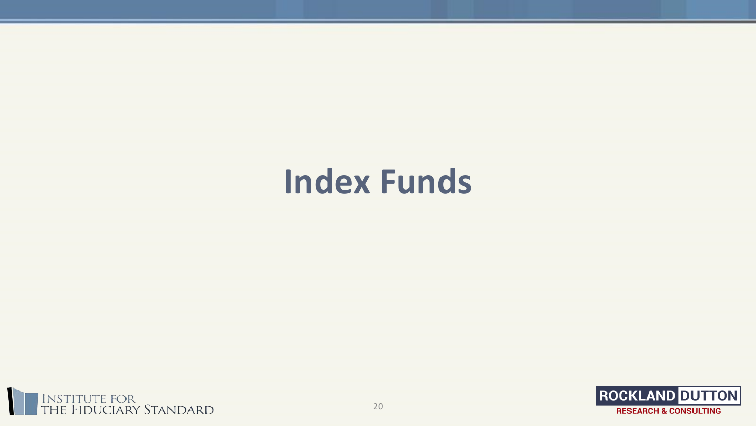# **Index Funds**

![](_page_19_Picture_1.jpeg)

![](_page_19_Picture_2.jpeg)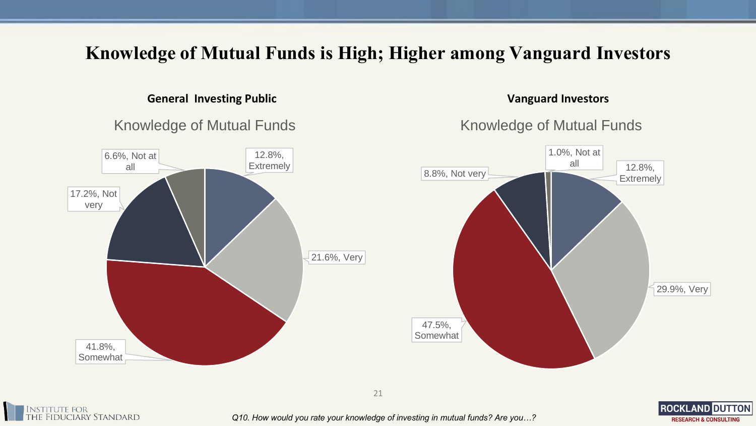## **Knowledge of Mutual Funds is High; Higher among Vanguard Investors**

### **General Investing Public Vanguard Investors**

![](_page_20_Figure_2.jpeg)

Knowledge of Mutual Funds

**RESEARCH & CONSULTING** 

![](_page_20_Figure_5.jpeg)

![](_page_20_Picture_6.jpeg)

*Q10. How would you rate your knowledge of investing in mutual funds? Are you…?*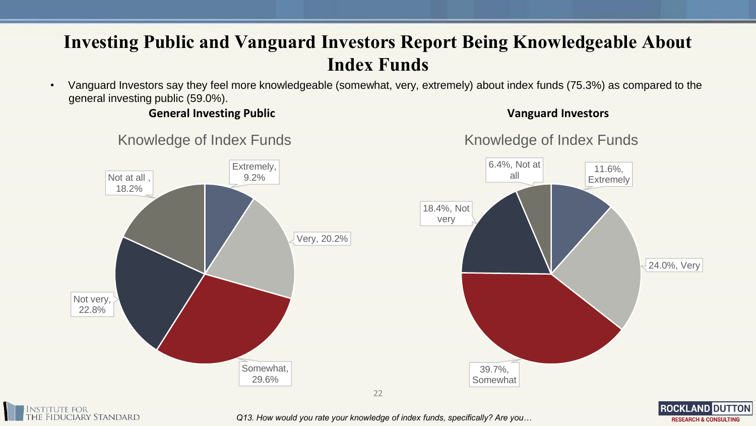## **Investing Public and Vanguard Investors Report Being Knowledgeable About Index Funds**

• Vanguard Investors say they feel more knowledgeable (somewhat, very, extremely) about index funds (75.3%) as compared to the general investing public (59.0%).

**General Investing Public Vanguard Investors**

**ROCKLAND DUTTON** 

**RESEARCH & CONSULTING** 

![](_page_21_Figure_4.jpeg)

*Q13. How would you rate your knowledge of index funds, specifically? Are you…*

Knowledge of Index Funds

tute for<br>Fiduciary Standard

## Knowledge of Index Funds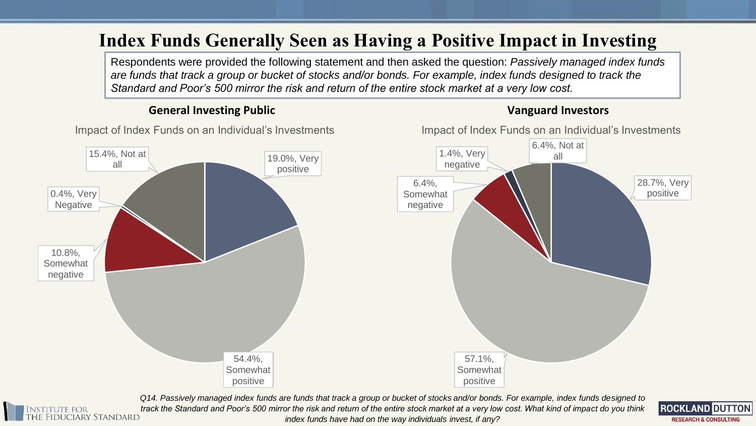## **Index Funds Generally Seen as Having a Positive Impact in Investing**

Respondents were provided the following statement and then asked the question: *Passively managed index funds are funds that track a group or bucket of stocks and/or bonds. For example, index funds designed to track the Standard and Poor's 500 mirror the risk and return of the entire stock market at a very low cost.* 

### **General Investing Public Vanguard Investors**

![](_page_22_Figure_3.jpeg)

Impact of Index Funds on an Individual's Investments

![](_page_22_Figure_4.jpeg)

Impact of Index Funds on an Individual's Investments

*Q14. Passively managed index funds are funds that track a group or bucket of stocks and/or bonds. For example, index funds designed to*  itute for<br>Fiduciary Standard *track the Standard and Poor's 500 mirror the risk and return of the entire stock market at a very low cost. What kind of impact do you think index funds have had on the way individuals invest, if any?*

![](_page_22_Picture_7.jpeg)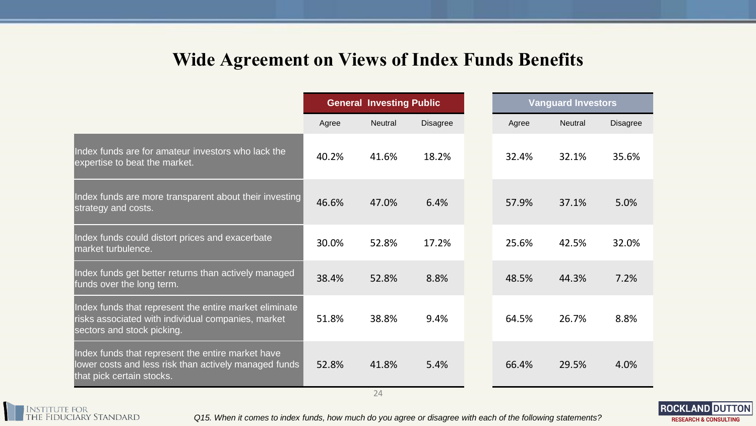## **Wide Agreement on Views of Index Funds Benefits**

|                                                                                                                                            | <b>General Investing Public</b> |                |                 | <b>Vanguard Investors</b> |                |          |
|--------------------------------------------------------------------------------------------------------------------------------------------|---------------------------------|----------------|-----------------|---------------------------|----------------|----------|
|                                                                                                                                            | Agree                           | <b>Neutral</b> | <b>Disagree</b> | Agree                     | <b>Neutral</b> | Disagree |
| Index funds are for amateur investors who lack the<br>expertise to beat the market.                                                        | 40.2%                           | 41.6%          | 18.2%           | 32.4%                     | 32.1%          | 35.6%    |
| Index funds are more transparent about their investing<br>strategy and costs.                                                              | 46.6%                           | 47.0%          | 6.4%            | 57.9%                     | 37.1%          | 5.0%     |
| Index funds could distort prices and exacerbate<br>market turbulence.                                                                      | 30.0%                           | 52.8%          | 17.2%           | 25.6%                     | 42.5%          | 32.0%    |
| Index funds get better returns than actively managed<br>funds over the long term.                                                          | 38.4%                           | 52.8%          | 8.8%            | 48.5%                     | 44.3%          | 7.2%     |
| Index funds that represent the entire market eliminate<br>risks associated with individual companies, market<br>sectors and stock picking. | 51.8%                           | 38.8%          | 9.4%            | 64.5%                     | 26.7%          | 8.8%     |
| Index funds that represent the entire market have<br>lower costs and less risk than actively managed funds<br>that pick certain stocks.    | 52.8%                           | 41.8%          | 5.4%            | 66.4%                     | 29.5%          | 4.0%     |
|                                                                                                                                            |                                 | 24             |                 |                           |                |          |

Institute for<br>the Fiduciary Standard

*Q15. When it comes to index funds, how much do you agree or disagree with each of the following statements?*

![](_page_23_Picture_4.jpeg)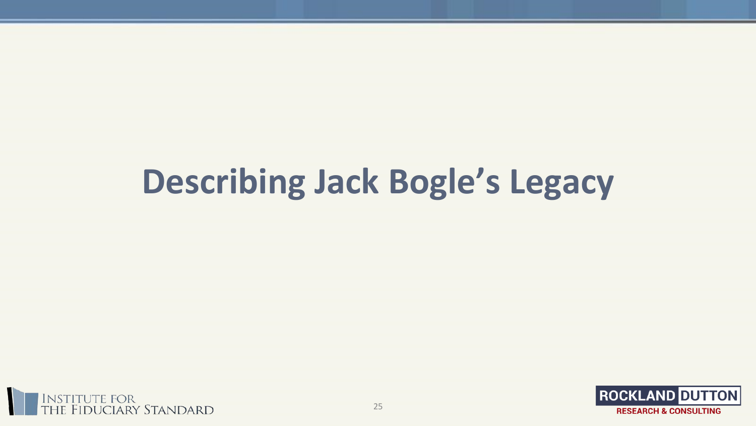# **Describing Jack Bogle's Legacy**

![](_page_24_Picture_1.jpeg)

![](_page_24_Picture_2.jpeg)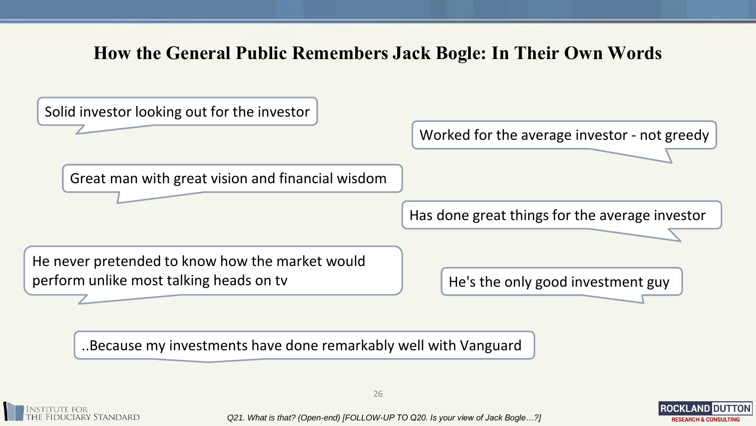## **How the General Public Remembers Jack Bogle: In Their Own Words**

![](_page_25_Figure_1.jpeg)

..Because my investments have done remarkably well with Vanguard

![](_page_25_Picture_3.jpeg)

*Q21. What is that? (Open-end) [FOLLOW-UP TO Q20. Is your view of Jack Bogle…?]*

![](_page_25_Picture_5.jpeg)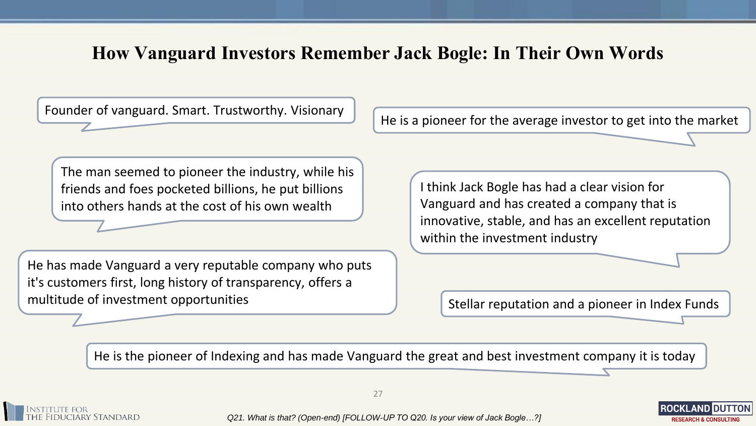## **How Vanguard Investors Remember Jack Bogle: In Their Own Words**

Founder of vanguard. Smart. Trustworthy. Visionary

He is a pioneer for the average investor to get into the market

The man seemed to pioneer the industry, while his friends and foes pocketed billions, he put billions into others hands at the cost of his own wealth

He has made Vanguard a very reputable company who puts it's customers first, long history of transparency, offers a multitude of investment opportunities

I think Jack Bogle has had a clear vision for Vanguard and has created a company that is innovative, stable, and has an excellent reputation within the investment industry

Stellar reputation and a pioneer in Index Funds

**RESEARCH & CONSULTING** 

He is the pioneer of Indexing and has made Vanguard the great and best investment company it is today

![](_page_26_Picture_8.jpeg)

27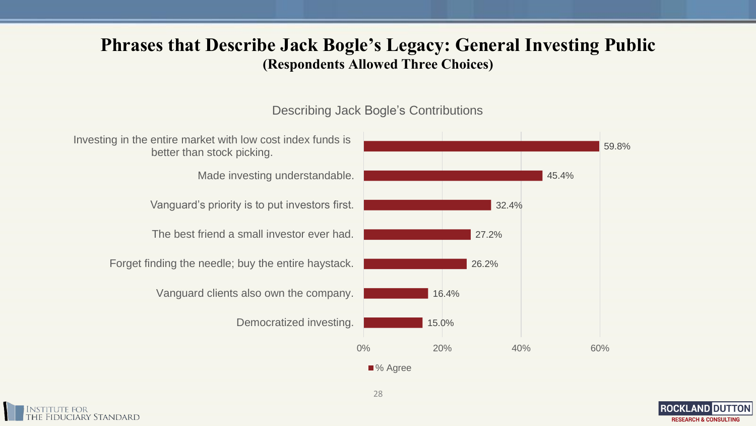## **Phrases that Describe Jack Bogle's Legacy: General Investing Public (Respondents Allowed Three Choices)**

### Describing Jack Bogle's Contributions

![](_page_27_Figure_2.jpeg)

![](_page_27_Picture_3.jpeg)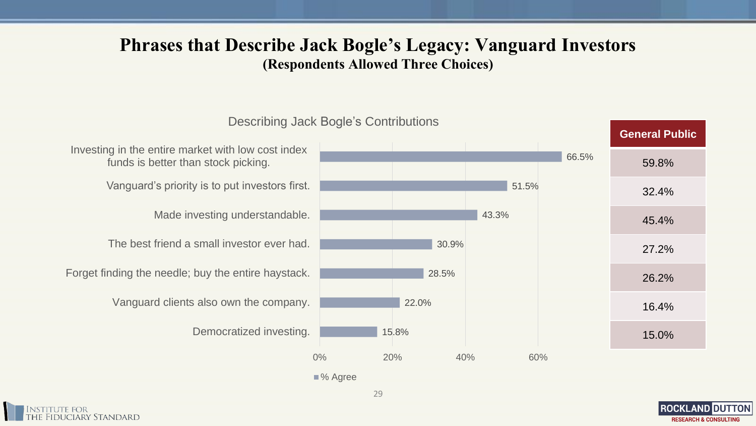## **Phrases that Describe Jack Bogle's Legacy: Vanguard Investors (Respondents Allowed Three Choices)**

15.8% 22.0% 28.5% 30.9% 43.3% 51.5% 66.5% 0% 20% 40% 60% Democratized investing. Vanguard clients also own the company. Forget finding the needle; buy the entire haystack. The best friend a small investor ever had. Made investing understandable. Vanguard's priority is to put investors first. Investing in the entire market with low cost index funds is better than stock picking. Describing Jack Bogle's Contributions **General Public** 59.8% 32.4% 45.4% 27.2% 26.2% 16.4% 15.0%

![](_page_28_Picture_3.jpeg)

![](_page_28_Picture_5.jpeg)